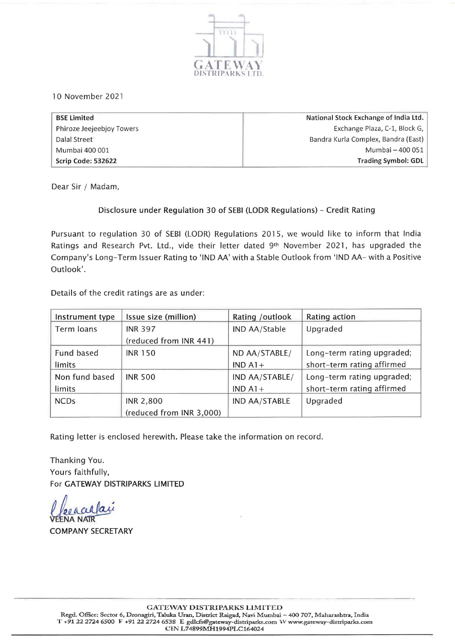

10 November 2021

| <b>BSE Limited</b>        | National Stock Exchange of India Ltd. |
|---------------------------|---------------------------------------|
| Phiroze Jeejeebjoy Towers | Exchange Plaza, C-1, Block G,         |
| Dalal Street              | Bandra Kurla Complex, Bandra (East)   |
| Mumbai 400 001            | Mumbai - 400 051                      |
| Scrip Code: 532622        | <b>Trading Symbol: GDL</b>            |

Dear Sir / Madam,

#### Disclosure under Regulation 30 of SEBI (LODR Regulations) - Credit Rating

Pursuant to regulation 30 of SEBI (LODR) Regulations 2015, we would like to inform that India Ratings and Research Pvt. Ltd., vide their letter dated 9<sup>th</sup> November 2021, has upgraded the Company's Long-Term Issuer Rating to 'IND AA' with a Stable Outlook from 'IND AA- with a Positive Outlook'.

Details of the credit ratings are as under:

| Instrument type | Issue size (million)     | Rating /outlook | Rating action              |
|-----------------|--------------------------|-----------------|----------------------------|
| Term loans      | <b>INR 397</b>           | IND AA/Stable   | Upgraded                   |
|                 | (reduced from INR 441)   |                 |                            |
| Fund based      | <b>INR 150</b>           | ND AA/STABLE/   | Long-term rating upgraded; |
| limits          |                          | $IND A1+$       | short-term rating affirmed |
| Non fund based  | <b>INR 500</b>           | IND AA/STABLE/  | Long-term rating upgraded; |
| limits          |                          | $IND A1+$       | short-term rating affirmed |
| <b>NCDs</b>     | <b>INR 2,800</b>         | IND AA/STABLE   | Upgraded                   |
|                 | (reduced from INR 3,000) |                 |                            |

Rating letter is enclosed herewith. Please take the information on record.

Thanking You. Yours faithfully, For GATEWAY DISTRIPARKS LIMITED

ee a alla

COMPANY SECRETARY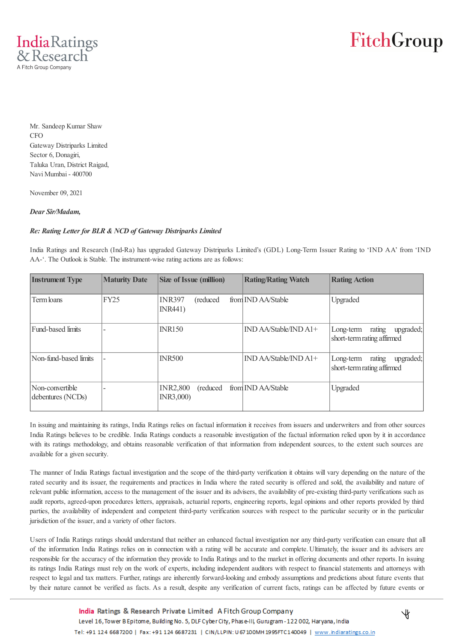

## FitchGroup

Mr. Sandeep Kumar Shaw CFO Gateway Distriparks Limited Sector 6, Donagiri, Taluka Uran, District Raigad, Navi Mumbai - 400700

November 09, 2021

#### *Dear Sir/Madam,*

#### *Re: Rating Letter for BLR & NCD of Gateway Distriparks Limited*

India Ratings and Research (Ind-Ra) has upgraded Gateway Distriparks Limited's (GDL) Long-Term Issuer Rating to 'IND AA' from 'IND AA-'. The Outlook is Stable. The instrument-wise rating actions are as follows:

| <b>Instrument Type</b>               | <b>Maturity Date</b> | <b>Size of Issue (million)</b>                | <b>Rating/Rating Watch</b> | <b>Rating Action</b>                                           |
|--------------------------------------|----------------------|-----------------------------------------------|----------------------------|----------------------------------------------------------------|
| Term loans                           | <b>FY25</b>          | <b>INR397</b><br>(reduced)<br><b>INR441</b> ) | from IND AA/Stable         | Upgraded                                                       |
| Fund-based limits                    |                      | <b>INR150</b>                                 | IND AA/Stable/IND A1+      | upgraded;<br>Long-term<br>rating<br>short-term rating affirmed |
| Non-fund-based limits                |                      | <b>INR500</b>                                 | $IND$ AA/Stable/ $IND$ A1+ | upgraded;<br>rating<br>Long-term<br>short-term rating affirmed |
| Non-convertible<br>debentures (NCDs) |                      | <b>INR2,800</b><br>(reduced)<br>INR3,000)     | from IND AA/Stable         | Upgraded                                                       |

In issuing and maintaining its ratings, India Ratings relies on factual information it receives from issuers and underwriters and from other sources India Ratings believes to be credible. India Ratings conducts a reasonable investigation of the factual information relied upon by it in accordance with its ratings methodology, and obtains reasonable verification of that information from independent sources, to the extent such sources are available for a given security.

The manner of India Ratings factual investigation and the scope of the third-party verification it obtains will vary depending on the nature of the rated security and its issuer, the requirements and practices in India where the rated security is offered and sold, the availability and nature of relevant public information, access to the management of the issuer and its advisers, the availability of pre-existing third-party verifications such as audit reports, agreed-upon procedures letters, appraisals, actuarial reports, engineering reports, legal opinions and other reports provided by third parties, the availability of independent and competent third-party verification sources with respect to the particular security or in the particular jurisdiction of the issuer, and a variety of other factors.

Users of India Ratings ratings should understand that neither an enhanced factual investigation nor any third-party verification can ensure that all of the information India Ratings relies on in connection with a rating will be accurate and complete. Ultimately, the issuer and its advisers are responsible for the accuracy of the information they provide to India Ratings and to the market in offering documents and other reports. In issuing its ratings India Ratings must rely on the work of experts, including independent auditors with respect to financial statements and attorneys with respect to legal and tax matters. Further, ratings are inherently forward-looking and embody assumptions and predictions about future events that by their nature cannot be verified as facts. As a result, despite any verification of current facts, ratings can be affected by future events or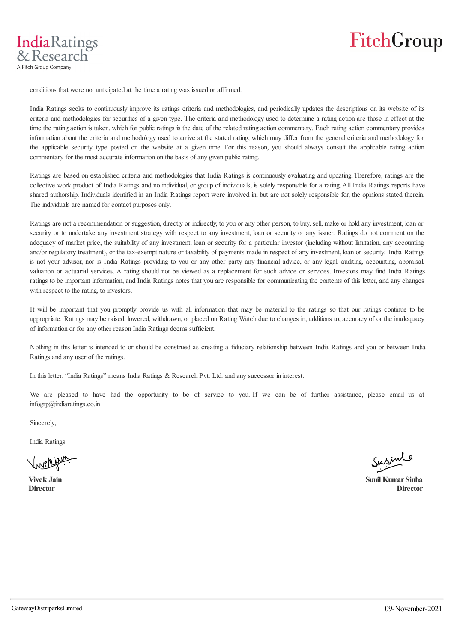

conditions that were not anticipated at the time a rating was issued or affirmed.

IndiaRatings & Research A Fitch Group Company

> India Ratings seeks to continuously improve its ratings criteria and methodologies, and periodically updates the descriptions on its website of its criteria and methodologies for securities of a given type. The criteria and methodology used to determine a rating action are those in effect at the time the rating action is taken, which for public ratings is the date of the related rating action commentary. Each rating action commentary provides information about the criteria and methodology used to arrive at the stated rating, which may differ from the general criteria and methodology for the applicable security type posted on the website at a given time. For this reason, you should always consult the applicable rating action commentary for the most accurate information on the basis of any given public rating.

> Ratings are based on established criteria and methodologies that India Ratings is continuously evaluating and updating. Therefore, ratings are the collective work product of India Ratings and no individual, or group of individuals, is solely responsible for a rating. All India Ratings reports have shared authorship. Individuals identified in an India Ratings report were involved in, but are not solely responsible for, the opinions stated therein. The individuals are named for contact purposes only.

> Ratings are not a recommendation or suggestion, directly or indirectly, to you or any other person, to buy, sell, make or hold any investment, loan or security or to undertake any investment strategy with respect to any investment, loan or security or any issuer. Ratings do not comment on the adequacy of market price, the suitability of any investment, loan or security for a particular investor (including without limitation, any accounting and/or regulatory treatment), or the tax-exempt nature or taxability of payments made in respect of any investment, loan or security. India Ratings is not your advisor, nor is India Ratings providing to you or any other party any financial advice, or any legal, auditing, accounting, appraisal, valuation or actuarial services. A rating should not be viewed as a replacement for such advice or services. Investors may find India Ratings ratings to be important information, and India Ratings notes that you are responsible for communicating the contents of this letter, and any changes with respect to the rating, to investors.

> It will be important that you promptly provide us with all information that may be material to the ratings so that our ratings continue to be appropriate. Ratings may be raised, lowered, withdrawn, or placed on Rating Watch due to changes in, additions to, accuracy of or the inadequacy of information or for any other reason India Ratings deems sufficient.

> Nothing in this letter is intended to or should be construed as creating a fiduciary relationship between India Ratings and you or between India Ratings and any user of the ratings.

In this letter, "India Ratings" means India Ratings & Research Pvt. Ltd. and any successor in interest.

We are pleased to have had the opportunity to be of service to you. If we can be of further assistance, please email us at infogrp@indiaratings.co.in

Sincerely,

India Ratings

Susinle

**Vivek Jain Sunil Kumar Sinha Director Director**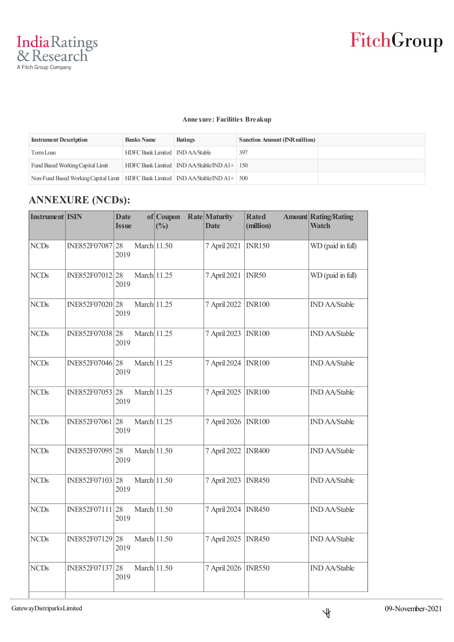#### **Annexure: Facilities Breakup**

| <b>Instrument Description</b>                                                          | <b>Banks Name</b>                 | Ratings                                                     | <b>Sanction Amount (INR million)</b> |  |
|----------------------------------------------------------------------------------------|-----------------------------------|-------------------------------------------------------------|--------------------------------------|--|
| Term Loan                                                                              | HDFC Bank Limited   IND AA/Stable |                                                             | 397                                  |  |
| Fund Based Working Capital Limit                                                       |                                   | HDFC Bank Limited $\vert$ IND AA/Stable/IND A1+ $\vert$ 150 |                                      |  |
| Non-Fund Based Working Capital Limit   HDFC Bank Limited   IND AA/Stable/IND A1+   500 |                                   |                                                             |                                      |  |

### **ANNEXURE (NCDs):**

| <b>Instrument ISIN</b> | <b>Date</b><br><b>Issue</b> |                                                                                                                                                                                                                                  | (%) | <b>Date</b>                                                                                                                                                                                   | <b>Rated</b><br>(million) | <b>Amount Rating/Rating</b><br><b>Watch</b> |
|------------------------|-----------------------------|----------------------------------------------------------------------------------------------------------------------------------------------------------------------------------------------------------------------------------|-----|-----------------------------------------------------------------------------------------------------------------------------------------------------------------------------------------------|---------------------------|---------------------------------------------|
|                        | 2019                        |                                                                                                                                                                                                                                  |     | 7 April 2021                                                                                                                                                                                  | <b>INR150</b>             | WD (paid in full)                           |
|                        | 2019                        |                                                                                                                                                                                                                                  |     | 7 April 2021                                                                                                                                                                                  | INR50                     | WD (paid in full)                           |
|                        | 2019                        |                                                                                                                                                                                                                                  |     | 7 April 2022                                                                                                                                                                                  | <b>INR100</b>             | <b>IND AA/Stable</b>                        |
|                        | 2019                        |                                                                                                                                                                                                                                  |     | 7 April 2023                                                                                                                                                                                  | <b>INR100</b>             | <b>IND AA/Stable</b>                        |
|                        | 2019                        |                                                                                                                                                                                                                                  |     | 7 April 2024                                                                                                                                                                                  | <b>INR100</b>             | <b>IND AA/Stable</b>                        |
|                        | 2019                        |                                                                                                                                                                                                                                  |     | 7 April 2025                                                                                                                                                                                  | <b>INR100</b>             | <b>IND AA/Stable</b>                        |
|                        | 2019                        |                                                                                                                                                                                                                                  |     | 7 April 2026                                                                                                                                                                                  | <b>INR100</b>             | <b>IND AA/Stable</b>                        |
|                        | 2019                        |                                                                                                                                                                                                                                  |     | 7 April 2022                                                                                                                                                                                  | <b>INR400</b>             | <b>IND AA/Stable</b>                        |
|                        | 2019                        |                                                                                                                                                                                                                                  |     | 7 April 2023                                                                                                                                                                                  | <b>INR450</b>             | <b>IND AA/Stable</b>                        |
|                        | 2019                        |                                                                                                                                                                                                                                  |     | 7 April 2024                                                                                                                                                                                  | <b>INR450</b>             | <b>IND AA/Stable</b>                        |
|                        | 2019                        |                                                                                                                                                                                                                                  |     | 7 April 2025                                                                                                                                                                                  | <b>INR450</b>             | <b>IND AA/Stable</b>                        |
|                        | 2019                        |                                                                                                                                                                                                                                  |     | 7 April 2026                                                                                                                                                                                  | <b>INR550</b>             | <b>IND AA/Stable</b>                        |
|                        |                             | INE852F07087 28<br>INE852F07012 28<br>INE852F07020 28<br>INE852F07038 28<br>INE852F07046 28<br>INE852F07053 28<br>INE852F07061 28<br>INE852F07095 28<br>INE852F07103 28<br>INE852F07111 28<br>INE852F07129 28<br>INE852F07137 28 |     | of Coupon<br>March 11.50<br>March 11.25<br>March 11.25<br>March 11.25<br>March 11.25<br>March 11.25<br>March 11.25<br>March 11.50<br>March 11.50<br>March 11.50<br>March 11.50<br>March 11.50 | Rate Maturity             |                                             |